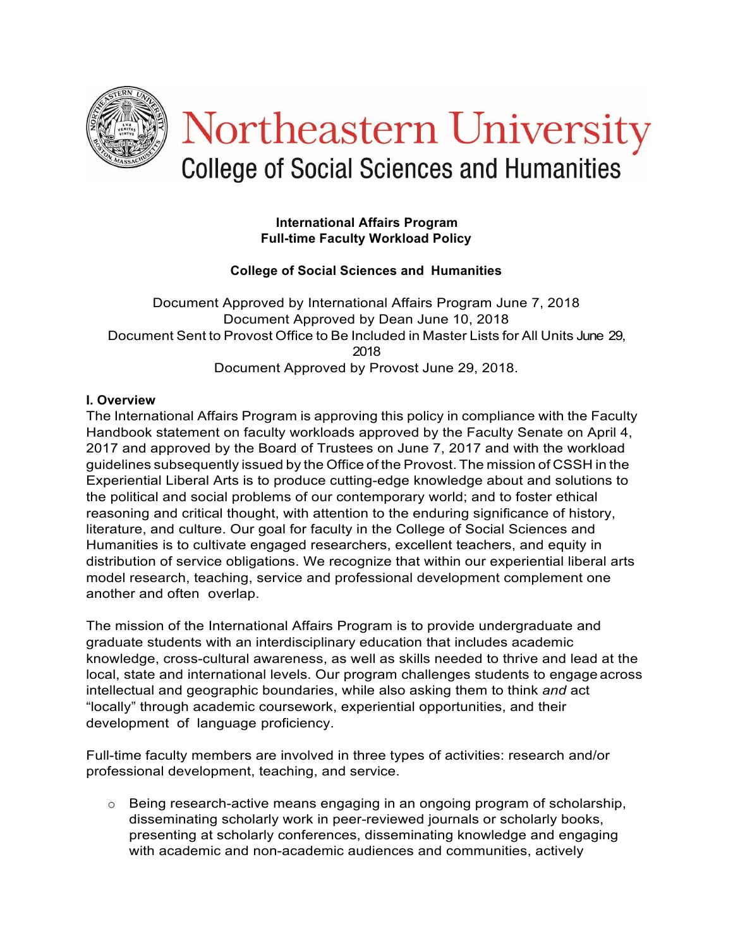

#### **International Affairs Program Full-time Faculty Workload Policy**

# **College of Social Sciences and Humanities**

Document Approved by International Affairs Program June 7, 2018 Document Approved by Dean June 10, 2018 Document Sent to Provost Office to Be Included in Master Lists for All Units June 29, 2018 Document Approved by Provost June 29, 2018.

## **I. Overview**

The International Affairs Program is approving this policy in compliance with the Faculty Handbook statement on faculty workloads approved by the Faculty Senate on April 4, 2017 and approved by the Board of Trustees on June 7, 2017 and with the workload guidelines subsequently issued by the Office of the Provost. The mission of CSSH in the Experiential Liberal Arts is to produce cutting-edge knowledge about and solutions to the political and social problems of our contemporary world; and to foster ethical reasoning and critical thought, with attention to the enduring significance of history, literature, and culture. Our goal for faculty in the College of Social Sciences and Humanities is to cultivate engaged researchers, excellent teachers, and equity in distribution of service obligations. We recognize that within our experiential liberal arts model research, teaching, service and professional development complement one another and often overlap.

The mission of the International Affairs Program is to provide undergraduate and graduate students with an interdisciplinary education that includes academic knowledge, cross-cultural awareness, as well as skills needed to thrive and lead at the local, state and international levels. Our program challenges students to engage across intellectual and geographic boundaries, while also asking them to think *and* act "locally" through academic coursework, experiential opportunities, and their development of language proficiency.

Full-time faculty members are involved in three types of activities: research and/or professional development, teaching, and service.

o Being research-active means engaging in an ongoing program of scholarship, disseminating scholarly work in peer-reviewed journals or scholarly books, presenting at scholarly conferences, disseminating knowledge and engaging with academic and non-academic audiences and communities, actively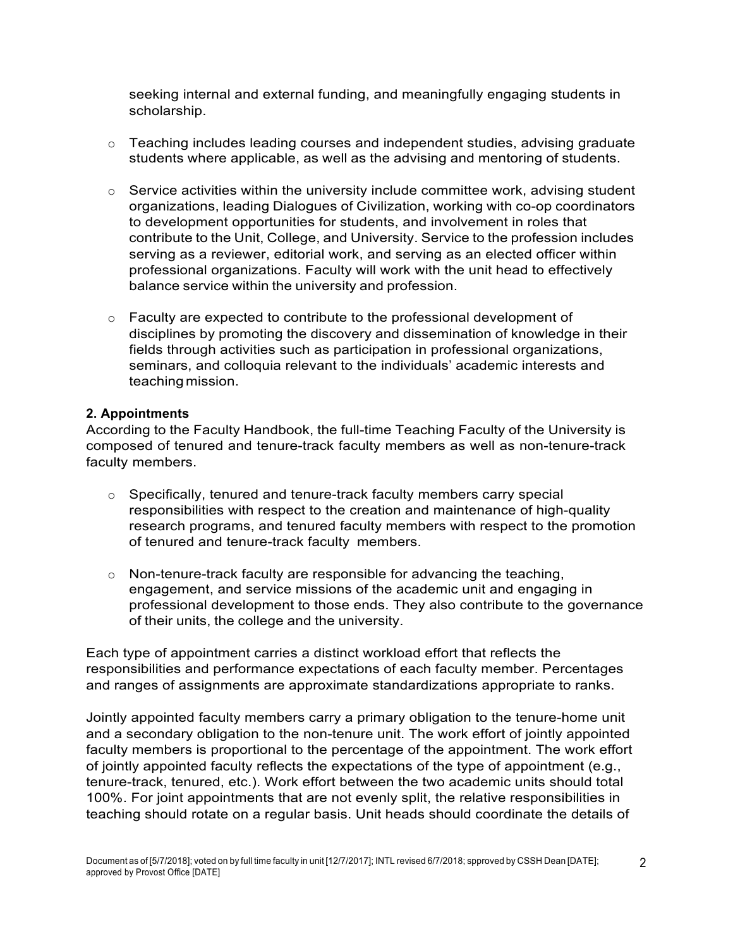seeking internal and external funding, and meaningfully engaging students in scholarship.

- $\circ$  Teaching includes leading courses and independent studies, advising graduate students where applicable, as well as the advising and mentoring of students.
- o Service activities within the university include committee work, advising student organizations, leading Dialogues of Civilization, working with co-op coordinators to development opportunities for students, and involvement in roles that contribute to the Unit, College, and University. Service to the profession includes serving as a reviewer, editorial work, and serving as an elected officer within professional organizations. Faculty will work with the unit head to effectively balance service within the university and profession.
- $\circ$  Faculty are expected to contribute to the professional development of disciplines by promoting the discovery and dissemination of knowledge in their fields through activities such as participation in professional organizations, seminars, and colloquia relevant to the individuals' academic interests and teaching mission.

#### **2. Appointments**

According to the Faculty Handbook, the full-time Teaching Faculty of the University is composed of tenured and tenure-track faculty members as well as non-tenure-track faculty members.

- $\circ$  Specifically, tenured and tenure-track faculty members carry special responsibilities with respect to the creation and maintenance of high-quality research programs, and tenured faculty members with respect to the promotion of tenured and tenure-track faculty members.
- $\circ$  Non-tenure-track faculty are responsible for advancing the teaching, engagement, and service missions of the academic unit and engaging in professional development to those ends. They also contribute to the governance of their units, the college and the university.

Each type of appointment carries a distinct workload effort that reflects the responsibilities and performance expectations of each faculty member. Percentages and ranges of assignments are approximate standardizations appropriate to ranks.

Jointly appointed faculty members carry a primary obligation to the tenure-home unit and a secondary obligation to the non-tenure unit. The work effort of jointly appointed faculty members is proportional to the percentage of the appointment. The work effort of jointly appointed faculty reflects the expectations of the type of appointment (e.g., tenure-track, tenured, etc.). Work effort between the two academic units should total 100%. For joint appointments that are not evenly split, the relative responsibilities in teaching should rotate on a regular basis. Unit heads should coordinate the details of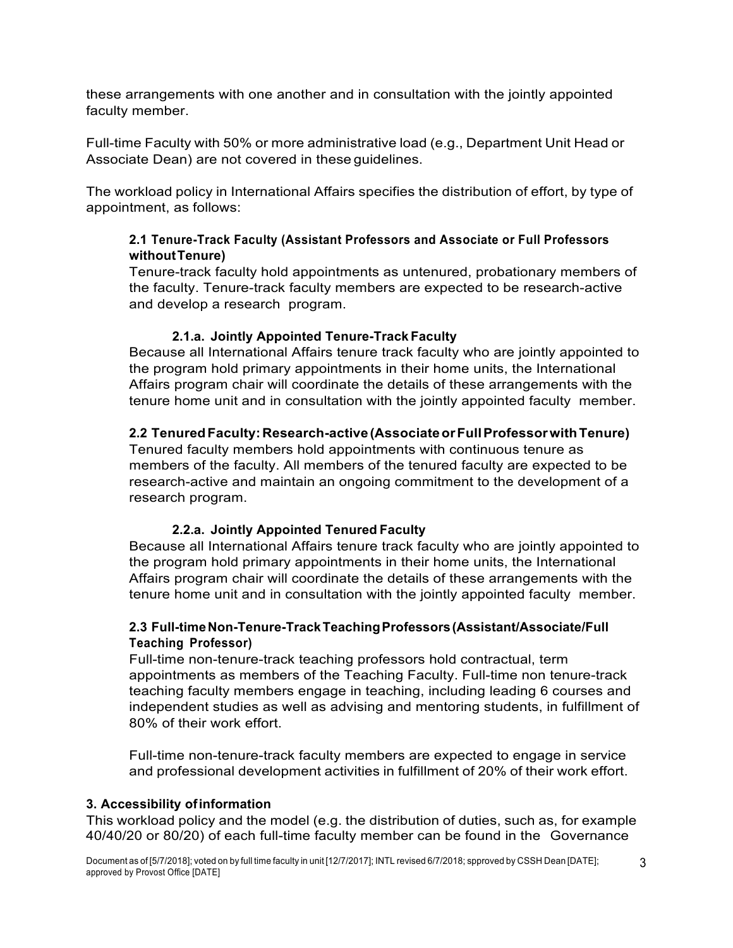these arrangements with one another and in consultation with the jointly appointed faculty member.

Full-time Faculty with 50% or more administrative load (e.g., Department Unit Head or Associate Dean) are not covered in these guidelines.

The workload policy in International Affairs specifies the distribution of effort, by type of appointment, as follows:

# **2.1 Tenure-Track Faculty (Assistant Professors and Associate or Full Professors withoutTenure)**

Tenure-track faculty hold appointments as untenured, probationary members of the faculty. Tenure-track faculty members are expected to be research-active and develop a research program.

# **2.1.a. Jointly Appointed Tenure-Track Faculty**

Because all International Affairs tenure track faculty who are jointly appointed to the program hold primary appointments in their home units, the International Affairs program chair will coordinate the details of these arrangements with the tenure home unit and in consultation with the jointly appointed faculty member.

# **2.2 TenuredFaculty:Research-active(AssociateorFullProfessorwithTenure)**

Tenured faculty members hold appointments with continuous tenure as members of the faculty. All members of the tenured faculty are expected to be research-active and maintain an ongoing commitment to the development of a research program.

## **2.2.a. Jointly Appointed Tenured Faculty**

Because all International Affairs tenure track faculty who are jointly appointed to the program hold primary appointments in their home units, the International Affairs program chair will coordinate the details of these arrangements with the tenure home unit and in consultation with the jointly appointed faculty member.

# **2.3 Full-timeNon-Tenure-TrackTeachingProfessors(Assistant/Associate/Full Teaching Professor)**

Full-time non-tenure-track teaching professors hold contractual, term appointments as members of the Teaching Faculty. Full-time non tenure-track teaching faculty members engage in teaching, including leading 6 courses and independent studies as well as advising and mentoring students, in fulfillment of 80% of their work effort.

Full-time non-tenure-track faculty members are expected to engage in service and professional development activities in fulfillment of 20% of their work effort.

## **3. Accessibility ofinformation**

This workload policy and the model (e.g. the distribution of duties, such as, for example 40/40/20 or 80/20) of each full-time faculty member can be found in the Governance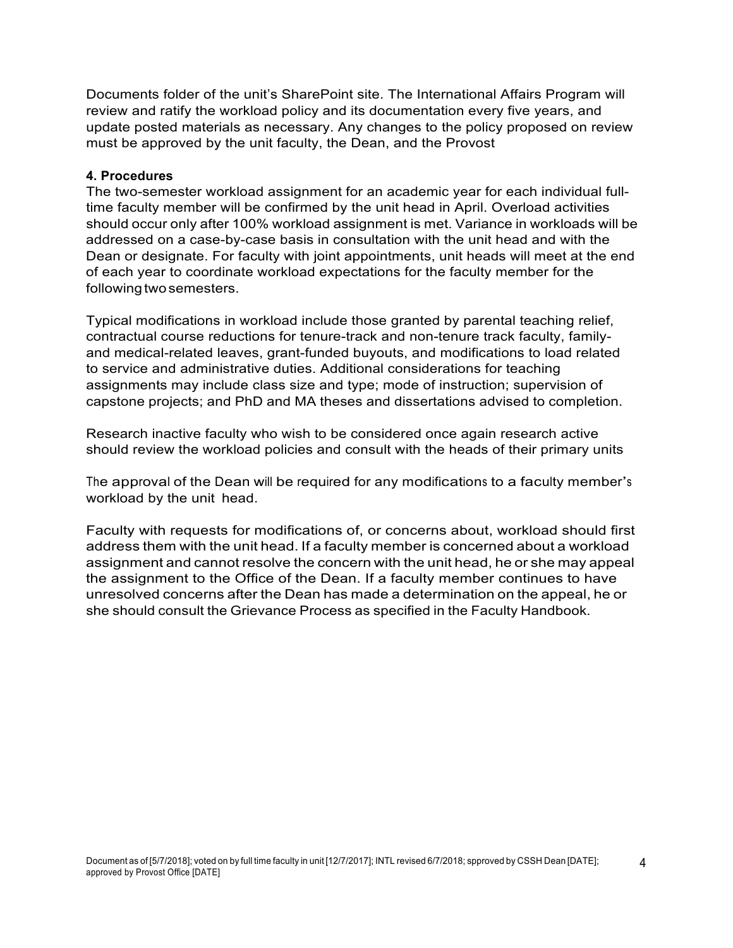Documents folder of the unit's SharePoint site. The International Affairs Program will review and ratify the workload policy and its documentation every five years, and update posted materials as necessary. Any changes to the policy proposed on review must be approved by the unit faculty, the Dean, and the Provost

#### **4. Procedures**

The two-semester workload assignment for an academic year for each individual fulltime faculty member will be confirmed by the unit head in April. Overload activities should occur only after 100% workload assignment is met. Variance in workloads will be addressed on a case-by-case basis in consultation with the unit head and with the Dean or designate. For faculty with joint appointments, unit heads will meet at the end of each year to coordinate workload expectations for the faculty member for the following two semesters.

Typical modifications in workload include those granted by parental teaching relief, contractual course reductions for tenure-track and non-tenure track faculty, familyand medical-related leaves, grant-funded buyouts, and modifications to load related to service and administrative duties. Additional considerations for teaching assignments may include class size and type; mode of instruction; supervision of capstone projects; and PhD and MA theses and dissertations advised to completion.

Research inactive faculty who wish to be considered once again research active should review the workload policies and consult with the heads of their primary units

The approval of the Dean will be required for any modifications to a faculty member's workload by the unit head.

Faculty with requests for modifications of, or concerns about, workload should first address them with the unit head. If a faculty member is concerned about a workload assignment and cannot resolve the concern with the unit head, he or she may appeal the assignment to the Office of the Dean. If a faculty member continues to have unresolved concerns after the Dean has made a determination on the appeal, he or she should consult the Grievance Process as specified in the Faculty Handbook.

4